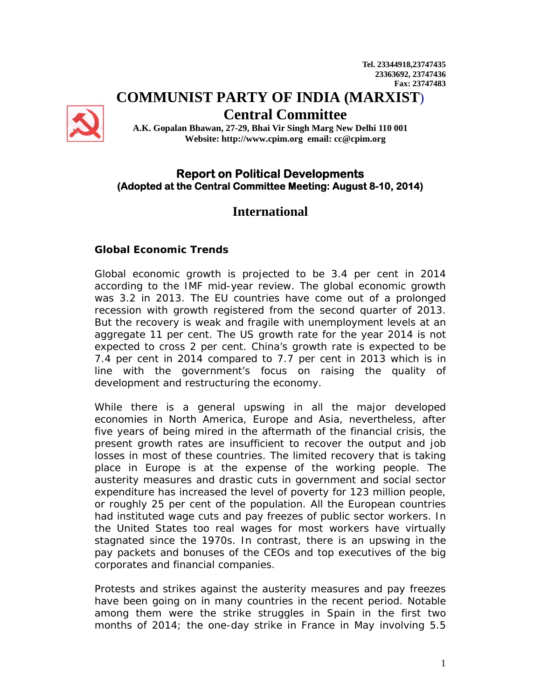# **COMMUNIST PARTY OF INDIA (MARXIST**)



**Central Committee** 

**A.K. Gopalan Bhawan, 27-29, Bhai Vir Singh Marg New Delhi 110 001 Website: http://www.cpim.org email: cc@cpim.org** 

## **Report on Political Developments (Adopted at the Central Committee Meeting: August 8-10, 2014)**

# **International**

## **Global Economic Trends**

Global economic growth is projected to be 3.4 per cent in 2014 according to the IMF mid-year review. The global economic growth was 3.2 in 2013. The EU countries have come out of a prolonged recession with growth registered from the second quarter of 2013. But the recovery is weak and fragile with unemployment levels at an aggregate 11 per cent. The US growth rate for the year 2014 is not expected to cross 2 per cent. China's growth rate is expected to be 7.4 per cent in 2014 compared to 7.7 per cent in 2013 which is in line with the government's focus on raising the quality of development and restructuring the economy.

While there is a general upswing in all the major developed economies in North America, Europe and Asia, nevertheless, after five years of being mired in the aftermath of the financial crisis, the present growth rates are insufficient to recover the output and job losses in most of these countries. The limited recovery that is taking place in Europe is at the expense of the working people. The austerity measures and drastic cuts in government and social sector expenditure has increased the level of poverty for 123 million people, or roughly 25 per cent of the population. All the European countries had instituted wage cuts and pay freezes of public sector workers. In the United States too real wages for most workers have virtually stagnated since the 1970s. In contrast, there is an upswing in the pay packets and bonuses of the CEOs and top executives of the big corporates and financial companies.

Protests and strikes against the austerity measures and pay freezes have been going on in many countries in the recent period. Notable among them were the strike struggles in Spain in the first two months of 2014; the one-day strike in France in May involving 5.5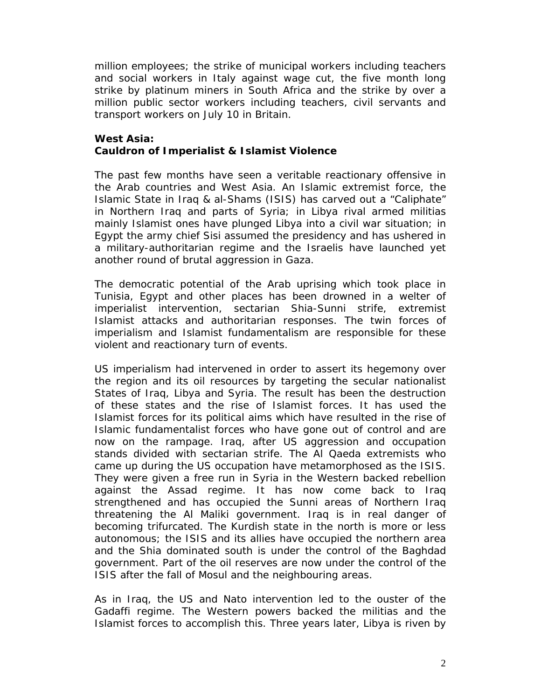million employees; the strike of municipal workers including teachers and social workers in Italy against wage cut, the five month long strike by platinum miners in South Africa and the strike by over a million public sector workers including teachers, civil servants and transport workers on July 10 in Britain.

#### **West Asia: Cauldron of Imperialist & Islamist Violence**

The past few months have seen a veritable reactionary offensive in the Arab countries and West Asia. An Islamic extremist force, the Islamic State in Iraq & al-Shams (ISIS) has carved out a "Caliphate" in Northern Iraq and parts of Syria; in Libya rival armed militias mainly Islamist ones have plunged Libya into a civil war situation; in Egypt the army chief Sisi assumed the presidency and has ushered in a military-authoritarian regime and the Israelis have launched yet another round of brutal aggression in Gaza.

The democratic potential of the Arab uprising which took place in Tunisia, Egypt and other places has been drowned in a welter of imperialist intervention, sectarian Shia-Sunni strife, extremist Islamist attacks and authoritarian responses. The twin forces of imperialism and Islamist fundamentalism are responsible for these violent and reactionary turn of events.

US imperialism had intervened in order to assert its hegemony over the region and its oil resources by targeting the secular nationalist States of Iraq, Libya and Syria. The result has been the destruction of these states and the rise of Islamist forces. It has used the Islamist forces for its political aims which have resulted in the rise of Islamic fundamentalist forces who have gone out of control and are now on the rampage. Iraq, after US aggression and occupation stands divided with sectarian strife. The Al Qaeda extremists who came up during the US occupation have metamorphosed as the ISIS. They were given a free run in Syria in the Western backed rebellion against the Assad regime. It has now come back to Iraq strengthened and has occupied the Sunni areas of Northern Iraq threatening the Al Maliki government. Iraq is in real danger of becoming trifurcated. The Kurdish state in the north is more or less autonomous; the ISIS and its allies have occupied the northern area and the Shia dominated south is under the control of the Baghdad government. Part of the oil reserves are now under the control of the ISIS after the fall of Mosul and the neighbouring areas.

As in Iraq, the US and Nato intervention led to the ouster of the Gadaffi regime. The Western powers backed the militias and the Islamist forces to accomplish this. Three years later, Libya is riven by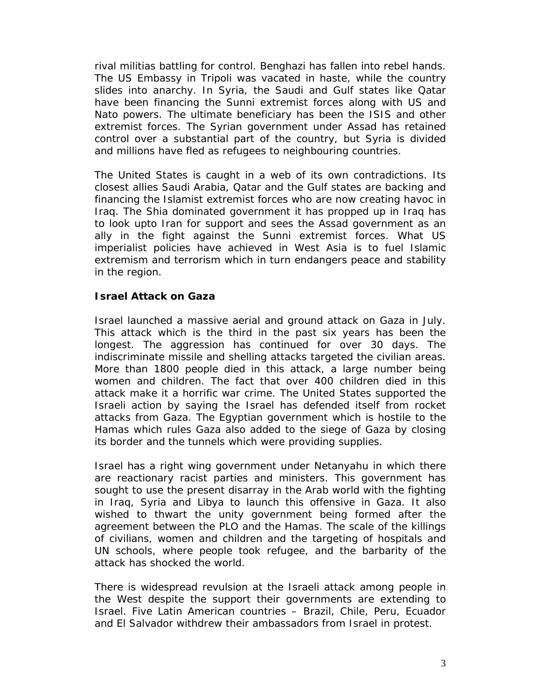rival militias battling for control. Benghazi has fallen into rebel hands. The US Embassy in Tripoli was vacated in haste, while the country slides into anarchy. In Syria, the Saudi and Gulf states like Qatar have been financing the Sunni extremist forces along with US and Nato powers. The ultimate beneficiary has been the ISIS and other extremist forces. The Syrian government under Assad has retained control over a substantial part of the country, but Syria is divided and millions have fled as refugees to neighbouring countries.

The United States is caught in a web of its own contradictions. Its closest allies Saudi Arabia, Qatar and the Gulf states are backing and financing the Islamist extremist forces who are now creating havoc in Iraq. The Shia dominated government it has propped up in Iraq has to look upto Iran for support and sees the Assad government as an ally in the fight against the Sunni extremist forces. What US imperialist policies have achieved in West Asia is to fuel Islamic extremism and terrorism which in turn endangers peace and stability in the region.

#### **Israel Attack on Gaza**

Israel launched a massive aerial and ground attack on Gaza in July. This attack which is the third in the past six years has been the longest. The aggression has continued for over 30 days. The indiscriminate missile and shelling attacks targeted the civilian areas. More than 1800 people died in this attack, a large number being women and children. The fact that over 400 children died in this attack make it a horrific war crime. The United States supported the Israeli action by saying the Israel has defended itself from rocket attacks from Gaza. The Egyptian government which is hostile to the Hamas which rules Gaza also added to the siege of Gaza by closing its border and the tunnels which were providing supplies.

Israel has a right wing government under Netanyahu in which there are reactionary racist parties and ministers. This government has sought to use the present disarray in the Arab world with the fighting in Iraq, Syria and Libya to launch this offensive in Gaza. It also wished to thwart the unity government being formed after the agreement between the PLO and the Hamas. The scale of the killings of civilians, women and children and the targeting of hospitals and UN schools, where people took refugee, and the barbarity of the attack has shocked the world.

There is widespread revulsion at the Israeli attack among people in the West despite the support their governments are extending to Israel. Five Latin American countries – Brazil, Chile, Peru, Ecuador and El Salvador withdrew their ambassadors from Israel in protest.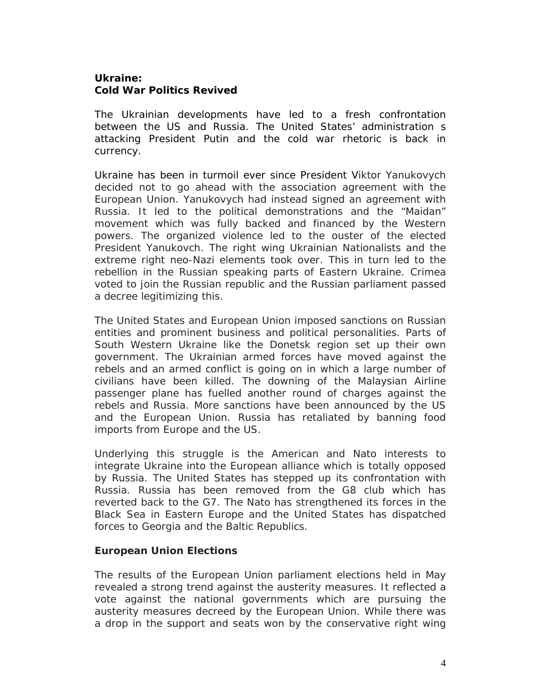## **Ukraine: Cold War Politics Revived**

The Ukrainian developments have led to a fresh confrontation between the US and Russia. The United States' administration s attacking President Putin and the cold war rhetoric is back in currency.

Ukraine has been in turmoil ever since President Viktor Yanukovych decided not to go ahead with the association agreement with the European Union. Yanukovych had instead signed an agreement with Russia. It led to the political demonstrations and the "Maidan" movement which was fully backed and financed by the Western powers. The organized violence led to the ouster of the elected President Yanukovch. The right wing Ukrainian Nationalists and the extreme right neo-Nazi elements took over. This in turn led to the rebellion in the Russian speaking parts of Eastern Ukraine. Crimea voted to join the Russian republic and the Russian parliament passed a decree legitimizing this.

The United States and European Union imposed sanctions on Russian entities and prominent business and political personalities. Parts of South Western Ukraine like the Donetsk region set up their own government. The Ukrainian armed forces have moved against the rebels and an armed conflict is going on in which a large number of civilians have been killed. The downing of the Malaysian Airline passenger plane has fuelled another round of charges against the rebels and Russia. More sanctions have been announced by the US and the European Union. Russia has retaliated by banning food imports from Europe and the US.

Underlying this struggle is the American and Nato interests to integrate Ukraine into the European alliance which is totally opposed by Russia. The United States has stepped up its confrontation with Russia. Russia has been removed from the G8 club which has reverted back to the G7. The Nato has strengthened its forces in the Black Sea in Eastern Europe and the United States has dispatched forces to Georgia and the Baltic Republics.

## **European Union Elections**

The results of the European Union parliament elections held in May revealed a strong trend against the austerity measures. It reflected a vote against the national governments which are pursuing the austerity measures decreed by the European Union. While there was a drop in the support and seats won by the conservative right wing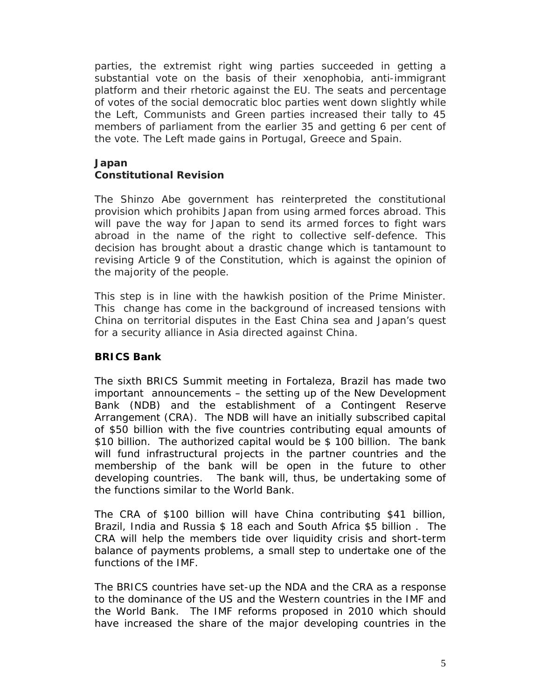parties, the extremist right wing parties succeeded in getting a substantial vote on the basis of their xenophobia, anti-immigrant platform and their rhetoric against the EU. The seats and percentage of votes of the social democratic bloc parties went down slightly while the Left, Communists and Green parties increased their tally to 45 members of parliament from the earlier 35 and getting 6 per cent of the vote. The Left made gains in Portugal, Greece and Spain.

#### **Japan**

#### **Constitutional Revision**

The Shinzo Abe government has reinterpreted the constitutional provision which prohibits Japan from using armed forces abroad. This will pave the way for Japan to send its armed forces to fight wars abroad in the name of the right to collective self-defence. This decision has brought about a drastic change which is tantamount to revising Article 9 of the Constitution, which is against the opinion of the majority of the people.

This step is in line with the hawkish position of the Prime Minister. This change has come in the background of increased tensions with China on territorial disputes in the East China sea and Japan's quest for a security alliance in Asia directed against China.

#### **BRICS Bank**

The sixth BRICS Summit meeting in Fortaleza, Brazil has made two important announcements – the setting up of the New Development Bank (NDB) and the establishment of a Contingent Reserve Arrangement (CRA). The NDB will have an initially subscribed capital of \$50 billion with the five countries contributing equal amounts of \$10 billion. The authorized capital would be \$ 100 billion. The bank will fund infrastructural projects in the partner countries and the membership of the bank will be open in the future to other developing countries. The bank will, thus, be undertaking some of the functions similar to the World Bank.

The CRA of \$100 billion will have China contributing \$41 billion, Brazil, India and Russia \$ 18 each and South Africa \$5 billion . The CRA will help the members tide over liquidity crisis and short-term balance of payments problems, a small step to undertake one of the functions of the IMF.

The BRICS countries have set-up the NDA and the CRA as a response to the dominance of the US and the Western countries in the IMF and the World Bank. The IMF reforms proposed in 2010 which should have increased the share of the major developing countries in the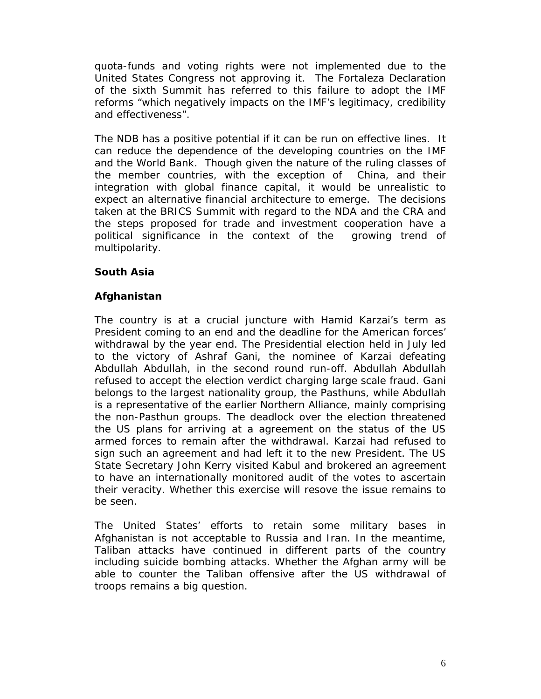quota-funds and voting rights were not implemented due to the United States Congress not approving it. The Fortaleza Declaration of the sixth Summit has referred to this failure to adopt the IMF reforms "which negatively impacts on the IMF's legitimacy, credibility and effectiveness".

The NDB has a positive potential if it can be run on effective lines. It can reduce the dependence of the developing countries on the IMF and the World Bank. Though given the nature of the ruling classes of the member countries, with the exception of China, and their integration with global finance capital, it would be unrealistic to expect an alternative financial architecture to emerge. The decisions taken at the BRICS Summit with regard to the NDA and the CRA and the steps proposed for trade and investment cooperation have a political significance in the context of the growing trend of multipolarity.

## **South Asia**

## **Afghanistan**

The country is at a crucial juncture with Hamid Karzai's term as President coming to an end and the deadline for the American forces' withdrawal by the year end. The Presidential election held in July led to the victory of Ashraf Gani, the nominee of Karzai defeating Abdullah Abdullah, in the second round run-off. Abdullah Abdullah refused to accept the election verdict charging large scale fraud. Gani belongs to the largest nationality group, the Pasthuns, while Abdullah is a representative of the earlier Northern Alliance, mainly comprising the non-Pasthun groups. The deadlock over the election threatened the US plans for arriving at a agreement on the status of the US armed forces to remain after the withdrawal. Karzai had refused to sign such an agreement and had left it to the new President. The US State Secretary John Kerry visited Kabul and brokered an agreement to have an internationally monitored audit of the votes to ascertain their veracity. Whether this exercise will resove the issue remains to be seen.

The United States' efforts to retain some military bases in Afghanistan is not acceptable to Russia and Iran. In the meantime, Taliban attacks have continued in different parts of the country including suicide bombing attacks. Whether the Afghan army will be able to counter the Taliban offensive after the US withdrawal of troops remains a big question.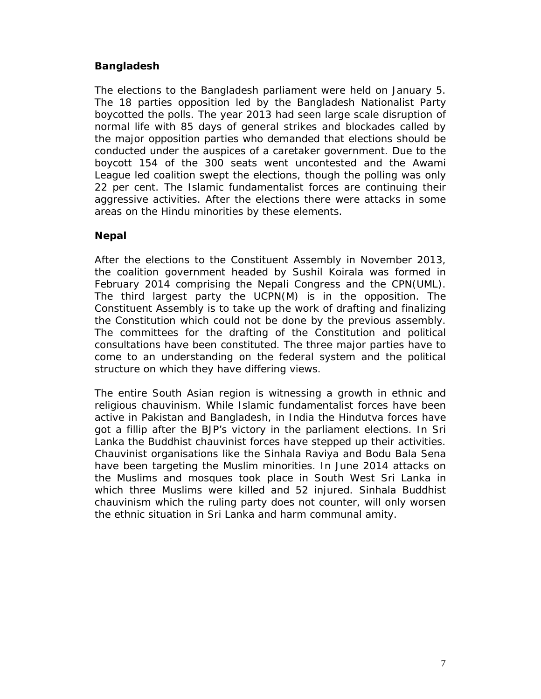#### **Bangladesh**

The elections to the Bangladesh parliament were held on January 5. The 18 parties opposition led by the Bangladesh Nationalist Party boycotted the polls. The year 2013 had seen large scale disruption of normal life with 85 days of general strikes and blockades called by the major opposition parties who demanded that elections should be conducted under the auspices of a caretaker government. Due to the boycott 154 of the 300 seats went uncontested and the Awami League led coalition swept the elections, though the polling was only 22 per cent. The Islamic fundamentalist forces are continuing their aggressive activities. After the elections there were attacks in some areas on the Hindu minorities by these elements.

#### **Nepal**

After the elections to the Constituent Assembly in November 2013, the coalition government headed by Sushil Koirala was formed in February 2014 comprising the Nepali Congress and the CPN(UML). The third largest party the UCPN(M) is in the opposition. The Constituent Assembly is to take up the work of drafting and finalizing the Constitution which could not be done by the previous assembly. The committees for the drafting of the Constitution and political consultations have been constituted. The three major parties have to come to an understanding on the federal system and the political structure on which they have differing views.

The entire South Asian region is witnessing a growth in ethnic and religious chauvinism. While Islamic fundamentalist forces have been active in Pakistan and Bangladesh, in India the Hindutva forces have got a fillip after the BJP's victory in the parliament elections. In Sri Lanka the Buddhist chauvinist forces have stepped up their activities. Chauvinist organisations like the Sinhala Raviya and Bodu Bala Sena have been targeting the Muslim minorities. In June 2014 attacks on the Muslims and mosques took place in South West Sri Lanka in which three Muslims were killed and 52 injured. Sinhala Buddhist chauvinism which the ruling party does not counter, will only worsen the ethnic situation in Sri Lanka and harm communal amity.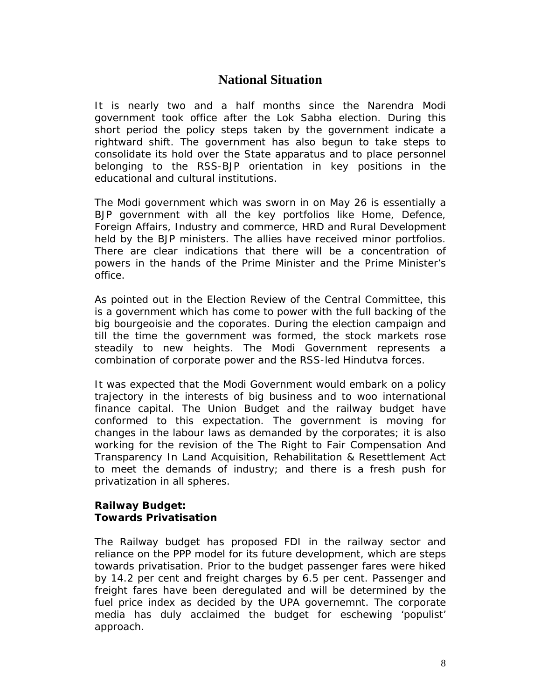# **National Situation**

It is nearly two and a half months since the Narendra Modi government took office after the Lok Sabha election. During this short period the policy steps taken by the government indicate a rightward shift. The government has also begun to take steps to consolidate its hold over the State apparatus and to place personnel belonging to the RSS-BJP orientation in key positions in the educational and cultural institutions.

The Modi government which was sworn in on May 26 is essentially a BJP government with all the key portfolios like Home, Defence, Foreign Affairs, Industry and commerce, HRD and Rural Development held by the BJP ministers. The allies have received minor portfolios. There are clear indications that there will be a concentration of powers in the hands of the Prime Minister and the Prime Minister's office.

As pointed out in the Election Review of the Central Committee, this is a government which has come to power with the full backing of the big bourgeoisie and the coporates. During the election campaign and till the time the government was formed, the stock markets rose steadily to new heights. The Modi Government represents a combination of corporate power and the RSS-led Hindutva forces.

It was expected that the Modi Government would embark on a policy trajectory in the interests of big business and to woo international finance capital. The Union Budget and the railway budget have conformed to this expectation. The government is moving for changes in the labour laws as demanded by the corporates; it is also working for the revision of the *The Right to Fair Compensation And Transparency In Land Acquisition, Rehabilitation & Resettlement Act*  to meet the demands of industry; and there is a fresh push for privatization in all spheres.

## **Railway Budget: Towards Privatisation**

The Railway budget has proposed FDI in the railway sector and reliance on the PPP model for its future development, which are steps towards privatisation. Prior to the budget passenger fares were hiked by 14.2 per cent and freight charges by 6.5 per cent. Passenger and freight fares have been deregulated and will be determined by the fuel price index as decided by the UPA governemnt. The corporate media has duly acclaimed the budget for eschewing 'populist' approach.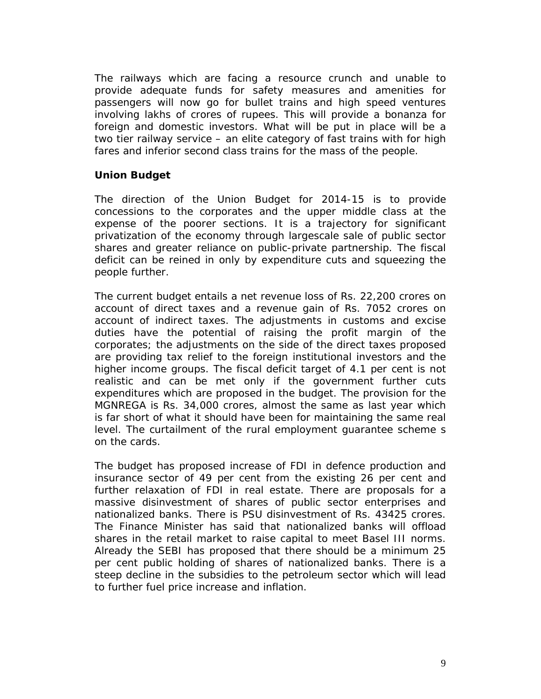The railways which are facing a resource crunch and unable to provide adequate funds for safety measures and amenities for passengers will now go for bullet trains and high speed ventures involving lakhs of crores of rupees. This will provide a bonanza for foreign and domestic investors. What will be put in place will be a two tier railway service – an elite category of fast trains with for high fares and inferior second class trains for the mass of the people.

#### **Union Budget**

The direction of the Union Budget for 2014-15 is to provide concessions to the corporates and the upper middle class at the expense of the poorer sections. It is a trajectory for significant privatization of the economy through largescale sale of public sector shares and greater reliance on public-private partnership. The fiscal deficit can be reined in only by expenditure cuts and squeezing the people further.

The current budget entails a net revenue loss of Rs. 22,200 crores on account of direct taxes and a revenue gain of Rs. 7052 crores on account of indirect taxes. The adjustments in customs and excise duties have the potential of raising the profit margin of the corporates; the adjustments on the side of the direct taxes proposed are providing tax relief to the foreign institutional investors and the higher income groups. The fiscal deficit target of 4.1 per cent is not realistic and can be met only if the government further cuts expenditures which are proposed in the budget. The provision for the MGNREGA is Rs. 34,000 crores, almost the same as last year which is far short of what it should have been for maintaining the same real level. The curtailment of the rural employment guarantee scheme s on the cards.

The budget has proposed increase of FDI in defence production and insurance sector of 49 per cent from the existing 26 per cent and further relaxation of FDI in real estate. There are proposals for a massive disinvestment of shares of public sector enterprises and nationalized banks. There is PSU disinvestment of Rs. 43425 crores. The Finance Minister has said that nationalized banks will offload shares in the retail market to raise capital to meet Basel III norms. Already the SEBI has proposed that there should be a minimum 25 per cent public holding of shares of nationalized banks. There is a steep decline in the subsidies to the petroleum sector which will lead to further fuel price increase and inflation.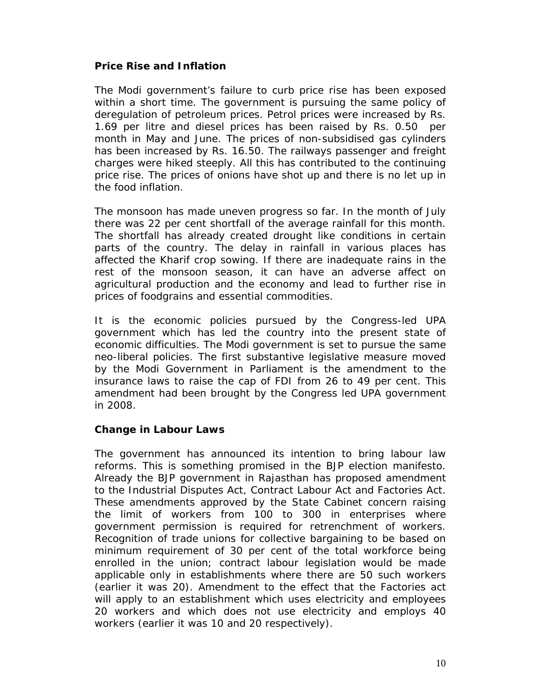#### **Price Rise and Inflation**

The Modi government's failure to curb price rise has been exposed within a short time. The government is pursuing the same policy of deregulation of petroleum prices. Petrol prices were increased by Rs. 1.69 per litre and diesel prices has been raised by Rs. 0.50 per month in May and June. The prices of non-subsidised gas cylinders has been increased by Rs. 16.50. The railways passenger and freight charges were hiked steeply. All this has contributed to the continuing price rise. The prices of onions have shot up and there is no let up in the food inflation.

The monsoon has made uneven progress so far. In the month of July there was 22 per cent shortfall of the average rainfall for this month. The shortfall has already created drought like conditions in certain parts of the country. The delay in rainfall in various places has affected the Kharif crop sowing. If there are inadequate rains in the rest of the monsoon season, it can have an adverse affect on agricultural production and the economy and lead to further rise in prices of foodgrains and essential commodities.

It is the economic policies pursued by the Congress-led UPA government which has led the country into the present state of economic difficulties. The Modi government is set to pursue the same neo-liberal policies. The first substantive legislative measure moved by the Modi Government in Parliament is the amendment to the insurance laws to raise the cap of FDI from 26 to 49 per cent. This amendment had been brought by the Congress led UPA government in 2008.

#### **Change in Labour Laws**

The government has announced its intention to bring labour law reforms. This is something promised in the BJP election manifesto. Already the BJP government in Rajasthan has proposed amendment to the Industrial Disputes Act, Contract Labour Act and Factories Act. These amendments approved by the State Cabinet concern raising the limit of workers from 100 to 300 in enterprises where government permission is required for retrenchment of workers. Recognition of trade unions for collective bargaining to be based on minimum requirement of 30 per cent of the total workforce being enrolled in the union; contract labour legislation would be made applicable only in establishments where there are 50 such workers (earlier it was 20). Amendment to the effect that the Factories act will apply to an establishment which uses electricity and employees 20 workers and which does not use electricity and employs 40 workers (earlier it was 10 and 20 respectively).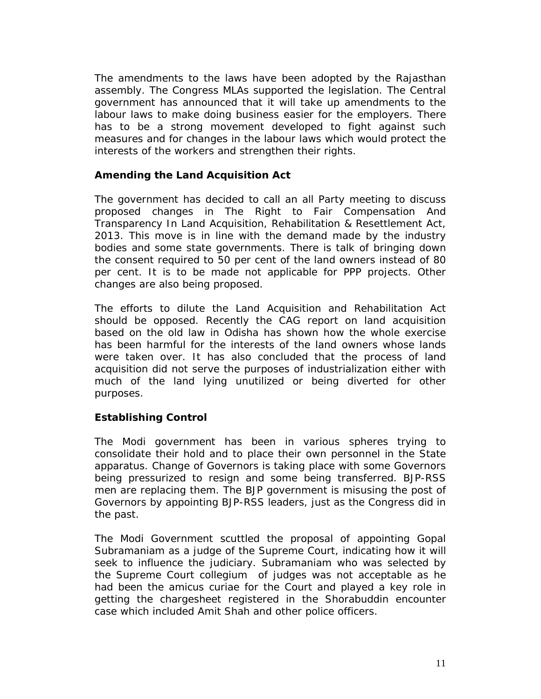The amendments to the laws have been adopted by the Rajasthan assembly. The Congress MLAs supported the legislation. The Central government has announced that it will take up amendments to the labour laws to make doing business easier for the employers. There has to be a strong movement developed to fight against such measures and for changes in the labour laws which would protect the interests of the workers and strengthen their rights.

#### **Amending the Land Acquisition Act**

The government has decided to call an all Party meeting to discuss proposed changes in *The Right to Fair Compensation And Transparency In Land Acquisition, Rehabilitation & Resettlement Act, 2013*. This move is in line with the demand made by the industry bodies and some state governments. There is talk of bringing down the consent required to 50 per cent of the land owners instead of 80 per cent. It is to be made not applicable for PPP projects. Other changes are also being proposed.

The efforts to dilute the Land Acquisition and Rehabilitation Act should be opposed. Recently the CAG report on land acquisition based on the old law in Odisha has shown how the whole exercise has been harmful for the interests of the land owners whose lands were taken over. It has also concluded that the process of land acquisition did not serve the purposes of industrialization either with much of the land lying unutilized or being diverted for other purposes.

## **Establishing Control**

The Modi government has been in various spheres trying to consolidate their hold and to place their own personnel in the State apparatus. Change of Governors is taking place with some Governors being pressurized to resign and some being transferred. BJP-RSS men are replacing them. The BJP government is misusing the post of Governors by appointing BJP-RSS leaders, just as the Congress did in the past.

The Modi Government scuttled the proposal of appointing Gopal Subramaniam as a judge of the Supreme Court, indicating how it will seek to influence the judiciary. Subramaniam who was selected by the Supreme Court collegium of judges was not acceptable as he had been the amicus curiae for the Court and played a key role in getting the chargesheet registered in the Shorabuddin encounter case which included Amit Shah and other police officers.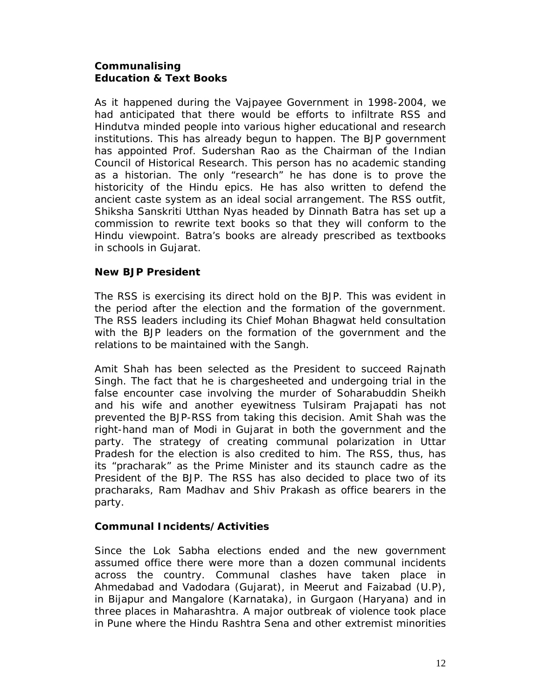## **Communalising Education & Text Books**

As it happened during the Vajpayee Government in 1998-2004, we had anticipated that there would be efforts to infiltrate RSS and Hindutva minded people into various higher educational and research institutions. This has already begun to happen. The BJP government has appointed Prof. Sudershan Rao as the Chairman of the Indian Council of Historical Research. This person has no academic standing as a historian. The only "research" he has done is to prove the historicity of the Hindu epics. He has also written to defend the ancient caste system as an ideal social arrangement. The RSS outfit, Shiksha Sanskriti Utthan Nyas headed by Dinnath Batra has set up a commission to rewrite text books so that they will conform to the Hindu viewpoint. Batra's books are already prescribed as textbooks in schools in Gujarat.

## **New BJP President**

The RSS is exercising its direct hold on the BJP. This was evident in the period after the election and the formation of the government. The RSS leaders including its Chief Mohan Bhagwat held consultation with the BJP leaders on the formation of the government and the relations to be maintained with the Sangh.

Amit Shah has been selected as the President to succeed Rajnath Singh. The fact that he is chargesheeted and undergoing trial in the false encounter case involving the murder of Soharabuddin Sheikh and his wife and another eyewitness Tulsiram Prajapati has not prevented the BJP-RSS from taking this decision. Amit Shah was the right-hand man of Modi in Gujarat in both the government and the party. The strategy of creating communal polarization in Uttar Pradesh for the election is also credited to him. The RSS, thus, has its "pracharak" as the Prime Minister and its staunch cadre as the President of the BJP. The RSS has also decided to place two of its pracharaks, Ram Madhav and Shiv Prakash as office bearers in the party.

## **Communal Incidents/Activities**

Since the Lok Sabha elections ended and the new government assumed office there were more than a dozen communal incidents across the country. Communal clashes have taken place in Ahmedabad and Vadodara (Gujarat), in Meerut and Faizabad (U.P), in Bijapur and Mangalore (Karnataka), in Gurgaon (Haryana) and in three places in Maharashtra. A major outbreak of violence took place in Pune where the Hindu Rashtra Sena and other extremist minorities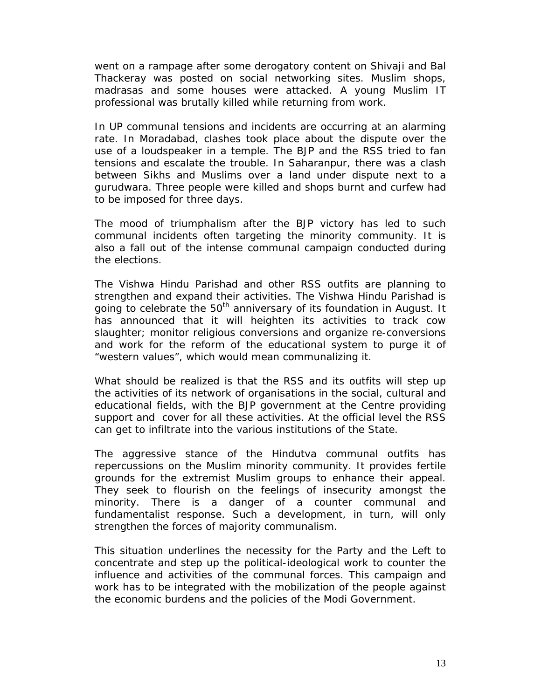went on a rampage after some derogatory content on Shivaji and Bal Thackeray was posted on social networking sites. Muslim shops, madrasas and some houses were attacked. A young Muslim IT professional was brutally killed while returning from work.

In UP communal tensions and incidents are occurring at an alarming rate. In Moradabad, clashes took place about the dispute over the use of a loudspeaker in a temple. The BJP and the RSS tried to fan tensions and escalate the trouble. In Saharanpur, there was a clash between Sikhs and Muslims over a land under dispute next to a gurudwara. Three people were killed and shops burnt and curfew had to be imposed for three days.

The mood of triumphalism after the BJP victory has led to such communal incidents often targeting the minority community. It is also a fall out of the intense communal campaign conducted during the elections.

The Vishwa Hindu Parishad and other RSS outfits are planning to strengthen and expand their activities. The Vishwa Hindu Parishad is going to celebrate the 50<sup>th</sup> anniversary of its foundation in August. It has announced that it will heighten its activities to track cow slaughter; monitor religious conversions and organize re-conversions and work for the reform of the educational system to purge it of "western values", which would mean communalizing it.

What should be realized is that the RSS and its outfits will step up the activities of its network of organisations in the social, cultural and educational fields, with the BJP government at the Centre providing support and cover for all these activities. At the official level the RSS can get to infiltrate into the various institutions of the State.

The aggressive stance of the Hindutva communal outfits has repercussions on the Muslim minority community. It provides fertile grounds for the extremist Muslim groups to enhance their appeal. They seek to flourish on the feelings of insecurity amongst the minority. There is a danger of a counter communal and fundamentalist response. Such a development, in turn, will only strengthen the forces of majority communalism.

This situation underlines the necessity for the Party and the Left to concentrate and step up the political-ideological work to counter the influence and activities of the communal forces. This campaign and work has to be integrated with the mobilization of the people against the economic burdens and the policies of the Modi Government.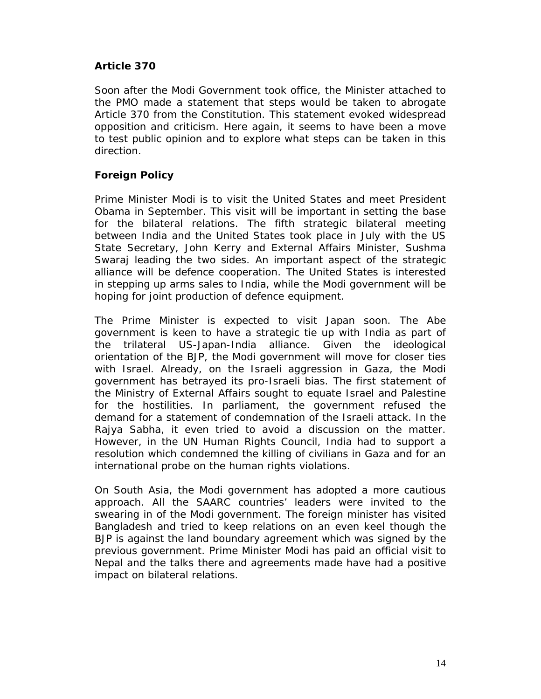#### **Article 370**

Soon after the Modi Government took office, the Minister attached to the PMO made a statement that steps would be taken to abrogate Article 370 from the Constitution. This statement evoked widespread opposition and criticism. Here again, it seems to have been a move to test public opinion and to explore what steps can be taken in this direction.

### **Foreign Policy**

Prime Minister Modi is to visit the United States and meet President Obama in September. This visit will be important in setting the base for the bilateral relations. The fifth strategic bilateral meeting between India and the United States took place in July with the US State Secretary, John Kerry and External Affairs Minister, Sushma Swaraj leading the two sides. An important aspect of the strategic alliance will be defence cooperation. The United States is interested in stepping up arms sales to India, while the Modi government will be hoping for joint production of defence equipment.

The Prime Minister is expected to visit Japan soon. The Abe government is keen to have a strategic tie up with India as part of the trilateral US-Japan-India alliance. Given the ideological orientation of the BJP, the Modi government will move for closer ties with Israel. Already, on the Israeli aggression in Gaza, the Modi government has betrayed its pro-Israeli bias. The first statement of the Ministry of External Affairs sought to equate Israel and Palestine for the hostilities. In parliament, the government refused the demand for a statement of condemnation of the Israeli attack. In the Rajya Sabha, it even tried to avoid a discussion on the matter. However, in the UN Human Rights Council, India had to support a resolution which condemned the killing of civilians in Gaza and for an international probe on the human rights violations.

On South Asia, the Modi government has adopted a more cautious approach. All the SAARC countries' leaders were invited to the swearing in of the Modi government. The foreign minister has visited Bangladesh and tried to keep relations on an even keel though the BJP is against the land boundary agreement which was signed by the previous government. Prime Minister Modi has paid an official visit to Nepal and the talks there and agreements made have had a positive impact on bilateral relations.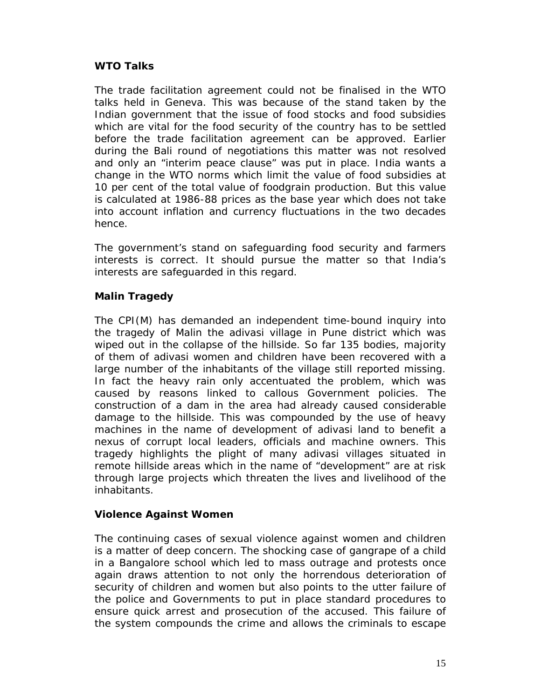## **WTO Talks**

The trade facilitation agreement could not be finalised in the WTO talks held in Geneva. This was because of the stand taken by the Indian government that the issue of food stocks and food subsidies which are vital for the food security of the country has to be settled before the trade facilitation agreement can be approved. Earlier during the Bali round of negotiations this matter was not resolved and only an "interim peace clause" was put in place. India wants a change in the WTO norms which limit the value of food subsidies at 10 per cent of the total value of foodgrain production. But this value is calculated at 1986-88 prices as the base year which does not take into account inflation and currency fluctuations in the two decades hence.

The government's stand on safeguarding food security and farmers interests is correct. It should pursue the matter so that India's interests are safeguarded in this regard.

# **Malin Tragedy**

The CPI(M) has demanded an independent time-bound inquiry into the tragedy of Malin the adivasi village in Pune district which was wiped out in the collapse of the hillside. So far 135 bodies, majority of them of adivasi women and children have been recovered with a large number of the inhabitants of the village still reported missing. In fact the heavy rain only accentuated the problem, which was caused by reasons linked to callous Government policies. The construction of a dam in the area had already caused considerable damage to the hillside. This was compounded by the use of heavy machines in the name of development of adivasi land to benefit a nexus of corrupt local leaders, officials and machine owners. This tragedy highlights the plight of many adivasi villages situated in remote hillside areas which in the name of "development" are at risk through large projects which threaten the lives and livelihood of the inhabitants.

## **Violence Against Women**

The continuing cases of sexual violence against women and children is a matter of deep concern. The shocking case of gangrape of a child in a Bangalore school which led to mass outrage and protests once again draws attention to not only the horrendous deterioration of security of children and women but also points to the utter failure of the police and Governments to put in place standard procedures to ensure quick arrest and prosecution of the accused. This failure of the system compounds the crime and allows the criminals to escape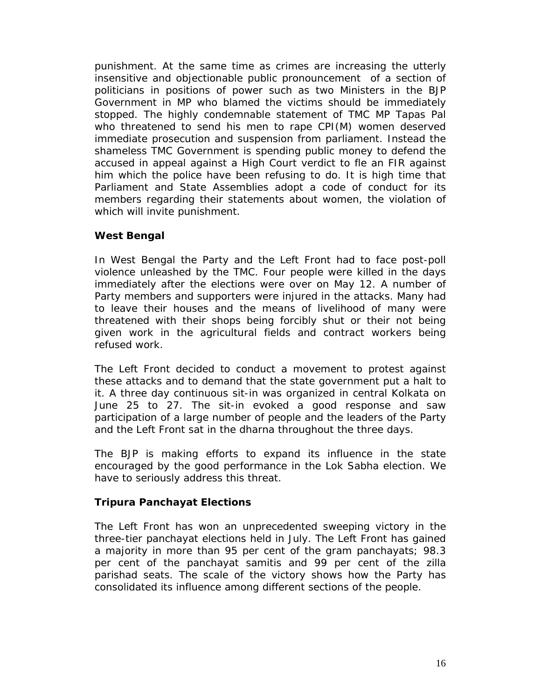punishment. At the same time as crimes are increasing the utterly insensitive and objectionable public pronouncement of a section of politicians in positions of power such as two Ministers in the BJP Government in MP who blamed the victims should be immediately stopped. The highly condemnable statement of TMC MP Tapas Pal who threatened to send his men to rape CPI(M) women deserved immediate prosecution and suspension from parliament. Instead the shameless TMC Government is spending public money to defend the accused in appeal against a High Court verdict to fle an FIR against him which the police have been refusing to do. It is high time that Parliament and State Assemblies adopt a code of conduct for its members regarding their statements about women, the violation of which will invite punishment.

#### **West Bengal**

In West Bengal the Party and the Left Front had to face post-poll violence unleashed by the TMC. Four people were killed in the days immediately after the elections were over on May 12. A number of Party members and supporters were injured in the attacks. Many had to leave their houses and the means of livelihood of many were threatened with their shops being forcibly shut or their not being given work in the agricultural fields and contract workers being refused work.

The Left Front decided to conduct a movement to protest against these attacks and to demand that the state government put a halt to it. A three day continuous sit-in was organized in central Kolkata on June 25 to 27. The sit-in evoked a good response and saw participation of a large number of people and the leaders of the Party and the Left Front sat in the dharna throughout the three days.

The BJP is making efforts to expand its influence in the state encouraged by the good performance in the Lok Sabha election. We have to seriously address this threat.

## **Tripura Panchayat Elections**

The Left Front has won an unprecedented sweeping victory in the three-tier panchayat elections held in July. The Left Front has gained a majority in more than 95 per cent of the gram panchayats; 98.3 per cent of the panchayat samitis and 99 per cent of the zilla parishad seats. The scale of the victory shows how the Party has consolidated its influence among different sections of the people.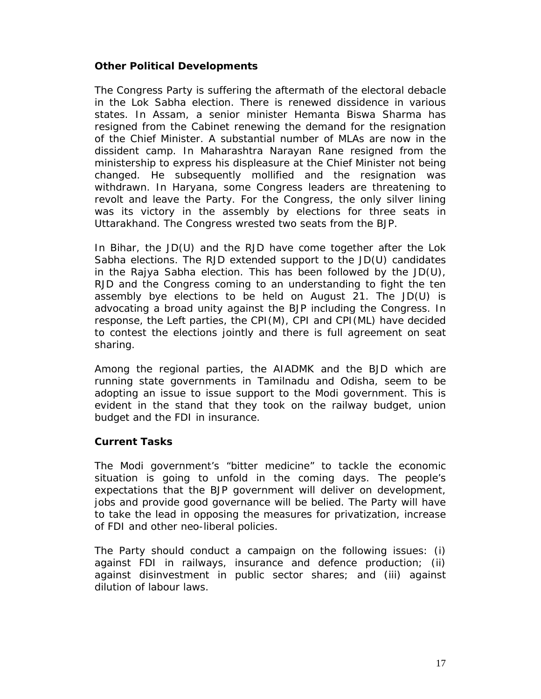#### **Other Political Developments**

The Congress Party is suffering the aftermath of the electoral debacle in the Lok Sabha election. There is renewed dissidence in various states. In Assam, a senior minister Hemanta Biswa Sharma has resigned from the Cabinet renewing the demand for the resignation of the Chief Minister. A substantial number of MLAs are now in the dissident camp. In Maharashtra Narayan Rane resigned from the ministership to express his displeasure at the Chief Minister not being changed. He subsequently mollified and the resignation was withdrawn. In Haryana, some Congress leaders are threatening to revolt and leave the Party. For the Congress, the only silver lining was its victory in the assembly by elections for three seats in Uttarakhand. The Congress wrested two seats from the BJP.

In Bihar, the JD(U) and the RJD have come together after the Lok Sabha elections. The RJD extended support to the JD(U) candidates in the Rajya Sabha election. This has been followed by the JD(U), RJD and the Congress coming to an understanding to fight the ten assembly bye elections to be held on August 21. The JD(U) is advocating a broad unity against the BJP including the Congress. In response, the Left parties, the CPI(M), CPI and CPI(ML) have decided to contest the elections jointly and there is full agreement on seat sharing.

Among the regional parties, the AIADMK and the BJD which are running state governments in Tamilnadu and Odisha, seem to be adopting an issue to issue support to the Modi government. This is evident in the stand that they took on the railway budget, union budget and the FDI in insurance.

#### **Current Tasks**

The Modi government's "bitter medicine" to tackle the economic situation is going to unfold in the coming days. The people's expectations that the BJP government will deliver on development, jobs and provide good governance will be belied. The Party will have to take the lead in opposing the measures for privatization, increase of FDI and other neo-liberal policies.

The Party should conduct a campaign on the following issues: (i) against FDI in railways, insurance and defence production; (ii) against disinvestment in public sector shares; and (iii) against dilution of labour laws.